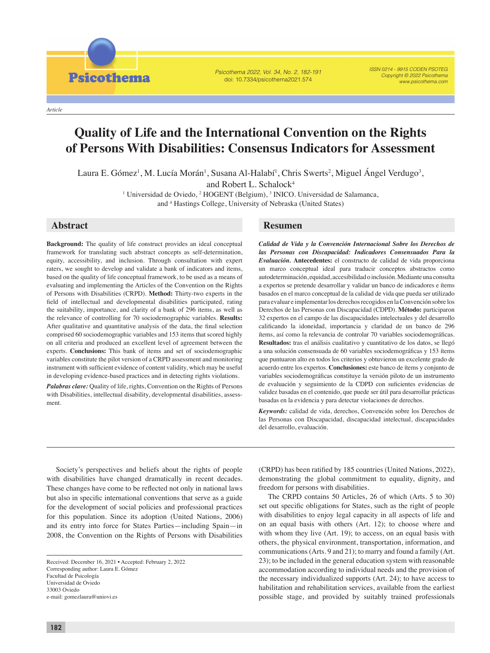*Article*

**Psicothema** 

# **Quality of Life and the International Convention on the Rights of Persons With Disabilities: Consensus Indicators for Assessment**

Laura E. Gómez, M. Lucía Morán, Susana Al-Halabí, Chris Swerts, Miguel Ángel Verdugo, and Robert L. Schalock

Psicothema 2022, Vol. 34, No. 2, 182-191 doi: 10.7334/psicothema2021.574

Laura E. Gómez<sup>1</sup>, M. Lucía Morán<sup>1</sup>, Susana Al-Halabí<sup>1</sup>, Chris Swerts<sup>2</sup>, Miguel Ángel Verdugo<sup>3</sup>,

and Robert L. Schalock<sup>4</sup>

<sup>1</sup> Universidad de Oviedo, <sup>2</sup> HOGENT (Belgium), <sup>3</sup> INICO. Universidad de Salamanca, and <sup>4</sup> Hastings College, University of Nebraska (United States)

**Background:** The quality of life construct provides an ideal conceptual framework for translating such abstract concepts as self-determination, equity, accessibility, and inclusion. Through consultation with expert raters, we sought to develop and validate a bank of indicators and items, based on the quality of life conceptual framework, to be used as a means of evaluating and implementing the Articles of the Convention on the Rights of Persons with Disabilities (CRPD). **Method:** Thirty-two experts in the field of intellectual and developmental disabilities participated, rating the suitability, importance, and clarity of a bank of 296 items, as well as the relevance of controlling for 70 sociodemographic variables. **Results:**  After qualitative and quantitative analysis of the data, the final selection comprised 60 sociodemographic variables and 153 items that scored highly on all criteria and produced an excellent level of agreement between the experts. **Conclusions:** This bank of items and set of sociodemographic variables constitute the pilot version of a CRPD assessment and monitoring instrument with sufficient evidence of content validity, which may be useful in developing evidence-based practices and in detecting rights violations.

*Palabras clave:* Quality of life, rights, Convention on the Rights of Persons with Disabilities, intellectual disability, developmental disabilities, assessment.

# **Abstract Resumen**

*Calidad de Vida y la Convención Internacional Sobre los Derechos de las Personas con Discapacidad: Indicadores Consensuados Para la Evaluación.* **Antecedentes:** el constructo de calidad de vida proporciona un marco conceptual ideal para traducir conceptos abstractos como autodeterminación, equidad, accesibilidad o inclusión. Mediante una consulta a expertos se pretende desarrollar y validar un banco de indicadores e ítems basados en el marco conceptual de la calidad de vida que pueda ser utilizado para evaluar e implementar los derechos recogidos en la Convención sobre los Derechos de las Personas con Discapacidad (CDPD). **Método:** participaron 32 expertos en el campo de las discapacidades intelectuales y del desarrollo calificando la idoneidad, importancia y claridad de un banco de 296 ítems, así como la relevancia de controlar 70 variables sociodemográficas. **Resultados:** tras el análisis cualitativo y cuantitativo de los datos, se llegó a una solución consensuada de 60 variables sociodemográficas y 153 ítems que puntuaron alto en todos los criterios y obtuvieron un excelente grado de acuerdo entre los expertos. **Conclusiones:** este banco de ítems y conjunto de variables sociodemográficas constituye la versión piloto de un instrumento de evaluación y seguimiento de la CDPD con suficientes evidencias de validez basadas en el contenido, que puede ser útil para desarrollar prácticas basadas en la evidencia y para detectar violaciones de derechos.

ISSN 0214 - 9915 CODEN PSOTEG Copyright © 2022 Psicothema www.psicothema.com

*Keywords:* calidad de vida, derechos, Convención sobre los Derechos de las Personas con Discapacidad, discapacidad intelectual, discapacidades del desarrollo, evaluación.

Society's perspectives and beliefs about the rights of people with disabilities have changed dramatically in recent decades. These changes have come to be reflected not only in national laws but also in specific international conventions that serve as a guide for the development of social policies and professional practices for this population. Since its adoption (United Nations, 2006) and its entry into force for States Parties—including Spain—in 2008, the Convention on the Rights of Persons with Disabilities

Received: December 16, 2021 • Accepted: February 2, 2022 Corresponding author: Laura E. Gómez Facultad de Psicología Universidad de Oviedo 33003 Oviedo e-mail: gomezlaura@uniovi.es

(CRPD) has been ratified by 185 countries (United Nations, 2022), demonstrating the global commitment to equality, dignity, and freedom for persons with disabilities.

The CRPD contains 50 Articles, 26 of which (Arts. 5 to 30) set out specific obligations for States, such as the right of people with disabilities to enjoy legal capacity in all aspects of life and on an equal basis with others (Art. 12); to choose where and with whom they live (Art. 19); to access, on an equal basis with others, the physical environment, transportation, information, and communications (Arts. 9 and 21); to marry and found a family (Art. 23); to be included in the general education system with reasonable accommodation according to individual needs and the provision of the necessary individualized supports (Art. 24); to have access to habilitation and rehabilitation services, available from the earliest possible stage, and provided by suitably trained professionals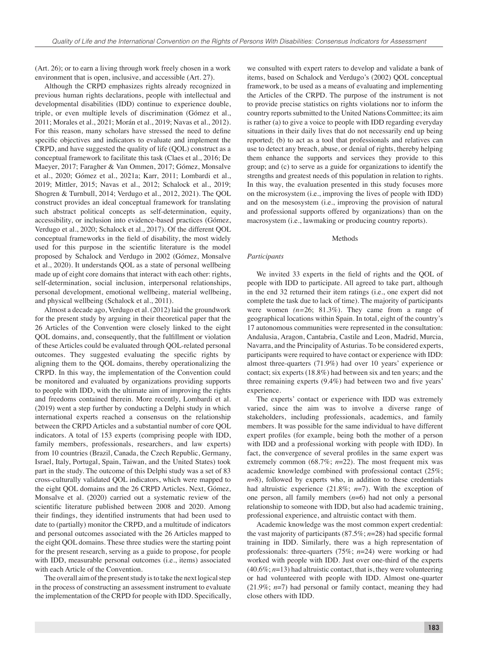(Art. 26); or to earn a living through work freely chosen in a work environment that is open, inclusive, and accessible (Art. 27).

Although the CRPD emphasizes rights already recognized in previous human rights declarations, people with intellectual and developmental disabilities (IDD) continue to experience double, triple, or even multiple levels of discrimination (Gómez et al., 2011; Morales et al., 2021; Morán et al., 2019; Navas et al., 2012). For this reason, many scholars have stressed the need to define specific objectives and indicators to evaluate and implement the CRPD, and have suggested the quality of life (QOL) construct as a conceptual framework to facilitate this task (Claes et al., 2016; De Maeyer, 2017; Faragher & Van Ommen, 2017; Gómez, Monsalve et al., 2020; Gómez et al., 2021a; Karr, 2011; Lombardi et al., 2019; Mittler, 2015; Navas et al., 2012; Schalock et al., 2019; Shogren & Turnbull, 2014; Verdugo et al., 2012, 2021). The QOL construct provides an ideal conceptual framework for translating such abstract political concepts as self-determination, equity, accessibility, or inclusion into evidence-based practices (Gómez, Verdugo et al., 2020; Schalock et al., 2017). Of the different QOL conceptual frameworks in the field of disability, the most widely used for this purpose in the scientific literature is the model proposed by Schalock and Verdugo in 2002 (Gómez, Monsalve et al., 2020). It understands QOL as a state of personal wellbeing made up of eight core domains that interact with each other: rights, self-determination, social inclusion, interpersonal relationships, personal development, emotional wellbeing, material wellbeing, and physical wellbeing (Schalock et al., 2011).

Almost a decade ago, Verdugo et al. (2012) laid the groundwork for the present study by arguing in their theoretical paper that the 26 Articles of the Convention were closely linked to the eight QOL domains, and, consequently, that the fulfillment or violation of these Articles could be evaluated through QOL-related personal outcomes. They suggested evaluating the specific rights by aligning them to the QOL domains, thereby operationalizing the CRPD. In this way, the implementation of the Convention could be monitored and evaluated by organizations providing supports to people with IDD, with the ultimate aim of improving the rights and freedoms contained therein. More recently, Lombardi et al. (2019) went a step further by conducting a Delphi study in which international experts reached a consensus on the relationship between the CRPD Articles and a substantial number of core QOL indicators. A total of 153 experts (comprising people with IDD, family members, professionals, researchers, and law experts) from 10 countries (Brazil, Canada, the Czech Republic, Germany, Israel, Italy, Portugal, Spain, Taiwan, and the United States) took part in the study. The outcome of this Delphi study was a set of 83 cross-culturally validated QOL indicators, which were mapped to the eight QOL domains and the 26 CRPD Articles. Next, Gómez, Monsalve et al. (2020) carried out a systematic review of the scientific literature published between 2008 and 2020. Among their findings, they identified instruments that had been used to date to (partially) monitor the CRPD, and a multitude of indicators and personal outcomes associated with the 26 Articles mapped to the eight QOL domains. These three studies were the starting point for the present research, serving as a guide to propose, for people with IDD, measurable personal outcomes (i.e., items) associated with each Article of the Convention.

The overall aim of the present study is to take the next logical step in the process of constructing an assessment instrument to evaluate the implementation of the CRPD for people with IDD. Specifically,

we consulted with expert raters to develop and validate a bank of items, based on Schalock and Verdugo's (2002) QOL conceptual framework, to be used as a means of evaluating and implementing the Articles of the CRPD. The purpose of the instrument is not to provide precise statistics on rights violations nor to inform the country reports submitted to the United Nations Committee; its aim is rather (a) to give a voice to people with IDD regarding everyday situations in their daily lives that do not necessarily end up being reported; (b) to act as a tool that professionals and relatives can use to detect any breach, abuse, or denial of rights, thereby helping them enhance the supports and services they provide to this group; and (c) to serve as a guide for organizations to identify the strengths and greatest needs of this population in relation to rights. In this way, the evaluation presented in this study focuses more on the microsystem (i.e., improving the lives of people with IDD) and on the mesosystem (i.e., improving the provision of natural and professional supports offered by organizations) than on the macrosystem (i.e., lawmaking or producing country reports).

# Methods

## *Participants*

We invited 33 experts in the field of rights and the QOL of people with IDD to participate. All agreed to take part, although in the end 32 returned their item ratings (i.e., one expert did not complete the task due to lack of time). The majority of participants were women *(n=*26; 81.3%). They came from a range of geographical locations within Spain. In total, eight of the country's 17 autonomous communities were represented in the consultation: Andalusia, Aragon, Cantabria, Castile and Leon, Madrid, Murcia, Navarra, and the Principality of Asturias. To be considered experts, participants were required to have contact or experience with IDD: almost three-quarters (71.9%) had over 10 years' experience or contact; six experts (18.8%) had between six and ten years; and the three remaining experts  $(9.4\%)$  had between two and five years' experience.

The experts' contact or experience with IDD was extremely varied, since the aim was to involve a diverse range of stakeholders, including professionals, academics, and family members. It was possible for the same individual to have different expert profiles (for example, being both the mother of a person with IDD and a professional working with people with IDD). In fact, the convergence of several profiles in the same expert was extremely common (68.7%;  $n=22$ ). The most frequent mix was academic knowledge combined with professional contact (25%; *n*=8), followed by experts who, in addition to these credentials had altruistic experience (21.8%; *n*=7). With the exception of one person, all family members (*n*=6) had not only a personal relationship to someone with IDD, but also had academic training, professional experience, and altruistic contact with them.

Academic knowledge was the most common expert credential: the vast majority of participants  $(87.5\%; n=28)$  had specific formal training in IDD. Similarly, there was a high representation of professionals: three-quarters (75%; *n*=24) were working or had worked with people with IDD. Just over one-third of the experts (40.6%; *n*=13) had altruistic contact, that is, they were volunteering or had volunteered with people with IDD. Almost one-quarter (21.9%; *n*=7) had personal or family contact, meaning they had close others with IDD.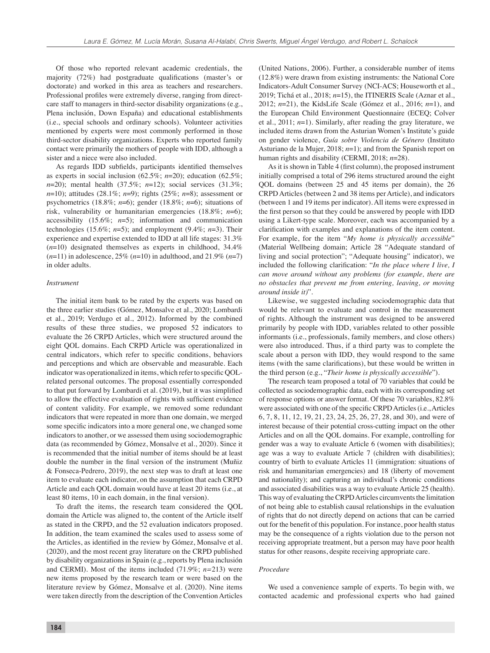Of those who reported relevant academic credentials, the majority  $(72%)$  had postgraduate qualifications (master's or doctorate) and worked in this area as teachers and researchers. Professional profiles were extremely diverse, ranging from directcare staff to managers in third-sector disability organizations (e.g., Plena inclusión, Down España) and educational establishments (i.e., special schools and ordinary schools). Volunteer activities mentioned by experts were most commonly performed in those third-sector disability organizations. Experts who reported family contact were primarily the mothers of people with IDD, although a sister and a niece were also included.

As regards IDD subfields, participants identified themselves as experts in social inclusion (62.5%; *n*=20); education (62.5%; *n*=20); mental health (37.5%; *n*=12); social services (31.3%; *n*=10); attitudes (28.1%; *n*=9); rights (25%; *n*=8); assessment or psychometrics (18.8%; *n*=6); gender (18.8%; *n*=6); situations of risk, vulnerability or humanitarian emergencies (18.8%; *n*=6); accessibility (15.6%; *n*=5); information and communication technologies (15.6%;  $n=5$ ); and employment (9.4%;  $n=3$ ). Their experience and expertise extended to IDD at all life stages: 31.3% (*n*=10) designated themselves as experts in childhood, 34.4% (*n*=11) in adolescence, 25% (*n*=10) in adulthood, and 21.9% (*n*=7) in older adults.

# *Instrument*

The initial item bank to be rated by the experts was based on the three earlier studies (Gómez, Monsalve et al., 2020; Lombardi et al., 2019; Verdugo et al., 2012). Informed by the combined results of these three studies, we proposed 52 indicators to evaluate the 26 CRPD Articles, which were structured around the eight QOL domains. Each CRPD Article was operationalized in central indicators, which refer to specific conditions, behaviors and perceptions and which are observable and measurable. Each indicator was operationalized in items, which refer to specific QOLrelated personal outcomes. The proposal essentially corresponded to that put forward by Lombardi et al. (2019), but it was simplified to allow the effective evaluation of rights with sufficient evidence of content validity. For example, we removed some redundant indicators that were repeated in more than one domain, we merged some specific indicators into a more general one, we changed some indicators to another, or we assessed them using sociodemographic data (as recommended by Gómez, Monsalve et al., 2020). Since it is recommended that the initial number of items should be at least double the number in the final version of the instrument (Muñiz & Fonseca-Pedrero, 2019), the next step was to draft at least one item to evaluate each indicator, on the assumption that each CRPD Article and each QOL domain would have at least 20 items (i.e., at least 80 items, 10 in each domain, in the final version).

To draft the items, the research team considered the QOL domain the Article was aligned to, the content of the Article itself as stated in the CRPD, and the 52 evaluation indicators proposed. In addition, the team examined the scales used to assess some of the Articles, as identified in the review by Gómez, Monsalve et al. (2020), and the most recent gray literature on the CRPD published by disability organizations in Spain (e.g., reports by Plena inclusión and CERMI). Most of the items included (71.9%; *n=*213) were new items proposed by the research team or were based on the literature review by Gómez, Monsalve et al. (2020). Nine items were taken directly from the description of the Convention Articles

(United Nations, 2006). Further, a considerable number of items (12.8%) were drawn from existing instruments: the National Core Indicators-Adult Consumer Survey (NCI-ACS; Houseworth et al., 2019; Tichá et al., 2018; *n*=15), the ITINERIS Scale (Aznar et al., 2012; *n*=21), the KidsLife Scale (Gómez et al., 2016; *n*=1), and the European Child Environment Questionnaire (ECEQ; Colver et al., 2011; *n*=1). Similarly, after reading the gray literature, we included items drawn from the Asturian Women's Institute's guide on gender violence, *Guía sobre Violencia de Género* (Instituto Asturiano de la Mujer, 2018; *n*=1); and from the Spanish report on human rights and disability (CERMI, 2018; *n*=28).

As it is shown in Table 4 (first column), the proposed instrument initially comprised a total of 296 items structured around the eight QOL domains (between 25 and 45 items per domain), the 26 CRPD Articles (between 2 and 38 items per Article), and indicators (between 1 and 19 items per indicator). All items were expressed in the first person so that they could be answered by people with IDD using a Likert-type scale. Moreover, each was accompanied by a clarification with examples and explanations of the item content. For example, for the item "*My home is physically accessible*" (Material Wellbeing domain; Article 28 "Adequate standard of living and social protection"; "Adequate housing" indicator), we included the following clarification: "*In the place where I live, I can move around without any problems (for example, there are no obstacles that prevent me from entering, leaving, or moving around inside it)*".

Likewise, we suggested including sociodemographic data that would be relevant to evaluate and control in the measurement of rights. Although the instrument was designed to be answered primarily by people with IDD, variables related to other possible informants (i.e., professionals, family members, and close others) were also introduced. Thus, if a third party was to complete the scale about a person with IDD, they would respond to the same items (with the same clarifications), but these would be written in the third person (e.g., "*Their home is physically accessible*").

The research team proposed a total of 70 variables that could be collected as sociodemographic data, each with its corresponding set of response options or answer format. Of these 70 variables, 82.8% were associated with one of the specific CRPD Articles (i.e., Articles 6, 7, 8, 11, 12, 19, 21, 23, 24, 25, 26, 27, 28, and 30), and were of interest because of their potential cross-cutting impact on the other Articles and on all the QOL domains. For example, controlling for gender was a way to evaluate Article 6 (women with disabilities); age was a way to evaluate Article 7 (children with disabilities); country of birth to evaluate Articles 11 (immigration: situations of risk and humanitarian emergencies) and 18 (liberty of movement and nationality); and capturing an individual's chronic conditions and associated disabilities was a way to evaluate Article 25 (health). This way of evaluating the CRPD Articles circumvents the limitation of not being able to establish causal relationships in the evaluation of rights that do not directly depend on actions that can be carried out for the benefit of this population. For instance, poor health status may be the consequence of a rights violation due to the person not receiving appropriate treatment, but a person may have poor health status for other reasons, despite receiving appropriate care.

#### *Procedure*

We used a convenience sample of experts. To begin with, we contacted academic and professional experts who had gained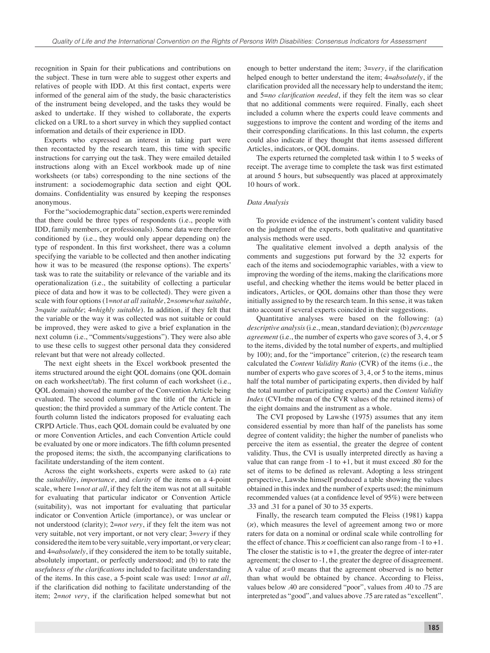recognition in Spain for their publications and contributions on the subject. These in turn were able to suggest other experts and relatives of people with IDD. At this first contact, experts were informed of the general aim of the study, the basic characteristics of the instrument being developed, and the tasks they would be asked to undertake. If they wished to collaborate, the experts clicked on a URL to a short survey in which they supplied contact information and details of their experience in IDD.

Experts who expressed an interest in taking part were then recontacted by the research team, this time with specific instructions for carrying out the task. They were emailed detailed instructions along with an Excel workbook made up of nine worksheets (or tabs) corresponding to the nine sections of the instrument: a sociodemographic data section and eight QOL domains. Confidentiality was ensured by keeping the responses anonymous.

For the "sociodemographic data" section, experts were reminded that there could be three types of respondents (i.e., people with IDD, family members, or professionals). Some data were therefore conditioned by (i.e., they would only appear depending on) the type of respondent. In this first worksheet, there was a column specifying the variable to be collected and then another indicating how it was to be measured (the response options). The experts' task was to rate the suitability or relevance of the variable and its operationalization (i.e., the suitability of collecting a particular piece of data and how it was to be collected). They were given a scale with four options (1=*not at all suitable*, 2=*somewhat suitable*, 3=*quite suitable*; 4=*highly suitable*). In addition, if they felt that the variable or the way it was collected was not suitable or could be improved, they were asked to give a brief explanation in the next column (i.e., "Comments/suggestions"). They were also able to use these cells to suggest other personal data they considered relevant but that were not already collected.

The next eight sheets in the Excel workbook presented the items structured around the eight QOL domains (one QOL domain on each worksheet/tab). The first column of each worksheet (i.e., QOL domain) showed the number of the Convention Article being evaluated. The second column gave the title of the Article in question; the third provided a summary of the Article content. The fourth column listed the indicators proposed for evaluating each CRPD Article. Thus, each QOL domain could be evaluated by one or more Convention Articles, and each Convention Article could be evaluated by one or more indicators. The fifth column presented the proposed items; the sixth, the accompanying clarifications to facilitate understanding of the item content.

Across the eight worksheets, experts were asked to (a) rate the *suitability*, *importance*, and *clarity* of the items on a 4-point scale, where 1=*not at all*, if they felt the item was not at all suitable for evaluating that particular indicator or Convention Article (suitability), was not important for evaluating that particular indicator or Convention Article (importance), or was unclear or not understood (clarity); 2=*not very*, if they felt the item was not very suitable, not very important, or not very clear; 3=*very* if they considered the item to be very suitable, very important, or very clear; and 4=*absolutely*, if they considered the item to be totally suitable, absolutely important, or perfectly understood; and (b) to rate the *usefulness of the clarifications* included to facilitate understanding of the items. In this case, a 5-point scale was used: 1=*not at all*, if the clarification did nothing to facilitate understanding of the item; 2=*not very*, if the clarification helped somewhat but not

enough to better understand the item;  $3=very$ , if the clarification helped enough to better understand the item; 4=*absolutely*, if the clarification provided all the necessary help to understand the item; and 5=*no clarification needed*, if they felt the item was so clear that no additional comments were required. Finally, each sheet included a column where the experts could leave comments and suggestions to improve the content and wording of the items and their corresponding clarifications. In this last column, the experts could also indicate if they thought that items assessed different Articles, indicators, or QOL domains.

The experts returned the completed task within 1 to 5 weeks of receipt. The average time to complete the task was first estimated at around 5 hours, but subsequently was placed at approximately 10 hours of work.

# *Data Analysis*

To provide evidence of the instrument's content validity based on the judgment of the experts, both qualitative and quantitative analysis methods were used.

The qualitative element involved a depth analysis of the comments and suggestions put forward by the 32 experts for each of the items and sociodemographic variables, with a view to improving the wording of the items, making the clarifications more useful, and checking whether the items would be better placed in indicators, Articles, or QOL domains other than those they were initially assigned to by the research team. In this sense, it was taken into account if several experts coincided in their suggestions.

Quantitative analyses were based on the following: (a) *descriptive analysis* (i.e., mean, standard deviation); (b) *percentage agreement* (i.e., the number of experts who gave scores of 3, 4, or 5 to the items, divided by the total number of experts, and multiplied by 100); and, for the "importance" criterion, (c) the research team calculated the *Content Validity Ratio* (CVR) of the items (i.e., the number of experts who gave scores of 3, 4, or 5 to the items, minus half the total number of participating experts, then divided by half the total number of participating experts) and the *Content Validity Index* (CVI=the mean of the CVR values of the retained items) of the eight domains and the instrument as a whole.

The CVI proposed by Lawshe (1975) assumes that any item considered essential by more than half of the panelists has some degree of content validity; the higher the number of panelists who perceive the item as essential, the greater the degree of content validity. Thus, the CVI is usually interpreted directly as having a value that can range from -1 to +1, but it must exceed .80 for the set of items to be defined as relevant. Adopting a less stringent perspective, Lawshe himself produced a table showing the values obtained in this index and the number of experts used; the minimum recommended values (at a confidence level of 95%) were between .33 and .31 for a panel of 30 to 35 experts.

Finally, the research team computed the Fleiss (1981) kappa (*κ*), which measures the level of agreement among two or more raters for data on a nominal or ordinal scale while controlling for the effect of chance. This  $x$  coefficient can also range from -1 to +1. The closer the statistic is to  $+1$ , the greater the degree of inter-rater agreement; the closer to -1, the greater the degree of disagreement. A value of *κ=*0 means that the agreement observed is no better than what would be obtained by chance. According to Fleiss, values below .40 are considered "poor", values from .40 to .75 are interpreted as "good", and values above .75 are rated as "excellent".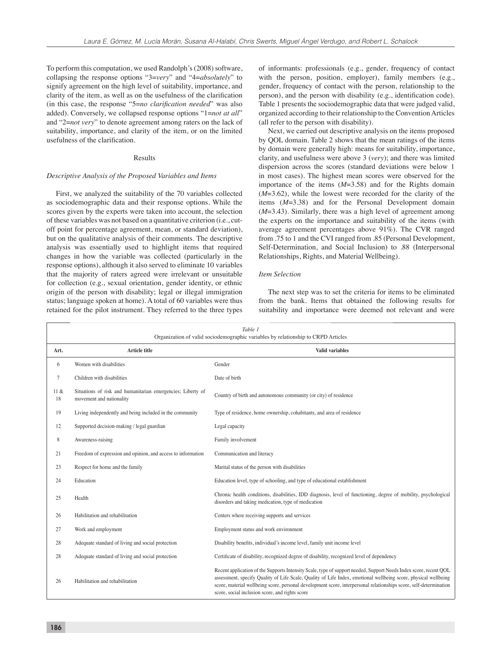To perform this computation, we used Randolph's (2008) software, collapsing the response options "3=*very*" and "4=*absolutely*" to signify agreement on the high level of suitability, importance, and clarity of the item, as well as on the usefulness of the clarification (in this case, the response "5=*no clarification needed*" was also added). Conversely, we collapsed response options "1=*not at all*" and "2=*not very*" to denote agreement among raters on the lack of suitability, importance, and clarity of the item, or on the limited usefulness of the clarification.

# Results

# *Descriptive Analysis of the Proposed Variables and Items*

First, we analyzed the suitability of the 70 variables collected as sociodemographic data and their response options. While the scores given by the experts were taken into account, the selection of these variables was not based on a quantitative criterion (i.e., cutoff point for percentage agreement, mean, or standard deviation), but on the qualitative analysis of their comments. The descriptive analysis was essentially used to highlight items that required changes in how the variable was collected (particularly in the response options), although it also served to eliminate 10 variables that the majority of raters agreed were irrelevant or unsuitable for collection (e.g., sexual orientation, gender identity, or ethnic origin of the person with disability; legal or illegal immigration status; language spoken at home). A total of 60 variables were thus retained for the pilot instrument. They referred to the three types of informants: professionals (e.g., gender, frequency of contact with the person, position, employer), family members (e.g., gender, frequency of contact with the person, relationship to the person), and the person with disability (e.g., identification code). Table 1 presents the sociodemographic data that were judged valid, organized according to their relationship to the Convention Articles (all refer to the person with disability).

Next, we carried out descriptive analysis on the items proposed by QOL domain. Table 2 shows that the mean ratings of the items by domain were generally high: means for suitability, importance, clarity, and usefulness were above 3 (*very*); and there was limited dispersion across the scores (standard deviations were below 1 in most cases). The highest mean scores were observed for the importance of the items (*M*=3.58) and for the Rights domain (*M*=3.62), while the lowest were recorded for the clarity of the items (*M*=3.38) and for the Personal Development domain (*M*=3.43). Similarly, there was a high level of agreement among the experts on the importance and suitability of the items (with average agreement percentages above 91%). The CVR ranged from .75 to 1 and the CVI ranged from .85 (Personal Development, Self-Determination, and Social Inclusion) to .88 (Interpersonal Relationships, Rights, and Material Wellbeing).

# *Item Selection*

The next step was to set the criteria for items to be eliminated from the bank. Items that obtained the following results for suitability and importance were deemed not relevant and were

|            |                                                                                         | Table 1<br>Organization of valid sociodemographic variables by relationship to CRPD Articles                                                                                                                                                                                                                                                                                                                  |
|------------|-----------------------------------------------------------------------------------------|---------------------------------------------------------------------------------------------------------------------------------------------------------------------------------------------------------------------------------------------------------------------------------------------------------------------------------------------------------------------------------------------------------------|
| Art.       | <b>Article title</b>                                                                    | <b>Valid variables</b>                                                                                                                                                                                                                                                                                                                                                                                        |
| 6          | Women with disabilities                                                                 | Gender                                                                                                                                                                                                                                                                                                                                                                                                        |
| 7          | Children with disabilities                                                              | Date of birth                                                                                                                                                                                                                                                                                                                                                                                                 |
| 11 &<br>18 | Situations of risk and humanitarian emergencies; Liberty of<br>movement and nationality | Country of birth and autonomous community (or city) of residence                                                                                                                                                                                                                                                                                                                                              |
| 19         | Living independently and being included in the community                                | Type of residence, home ownership, cohabitants, and area of residence                                                                                                                                                                                                                                                                                                                                         |
| 12         | Supported decision-making / legal guardian                                              | Legal capacity                                                                                                                                                                                                                                                                                                                                                                                                |
| 8          | Awareness-raising                                                                       | Family involvement                                                                                                                                                                                                                                                                                                                                                                                            |
| 21         | Freedom of expression and opinion, and access to information                            | Communication and literacy                                                                                                                                                                                                                                                                                                                                                                                    |
| 23         | Respect for home and the family                                                         | Marital status of the person with disabilities                                                                                                                                                                                                                                                                                                                                                                |
| 24         | Education                                                                               | Education level, type of schooling, and type of educational establishment                                                                                                                                                                                                                                                                                                                                     |
| 25         | Health                                                                                  | Chronic health conditions, disabilities, IDD diagnosis, level of functioning, degree of mobility, psychological<br>disorders and taking medication, type of medication                                                                                                                                                                                                                                        |
| 26         | Habilitation and rehabilitation                                                         | Centers where receiving supports and services                                                                                                                                                                                                                                                                                                                                                                 |
| 27         | Work and employment                                                                     | Employment status and work environment                                                                                                                                                                                                                                                                                                                                                                        |
| 28         | Adequate standard of living and social protection                                       | Disability benefits, individual's income level, family unit income level                                                                                                                                                                                                                                                                                                                                      |
| 28         | Adequate standard of living and social protection                                       | Certificate of disability, recognized degree of disability, recognized level of dependency                                                                                                                                                                                                                                                                                                                    |
| 26         | Habilitation and rehabilitation                                                         | Recent application of the Supports Intensity Scale, type of support needed, Support Needs Index score, recent QOL<br>assessment, specify Quality of Life Scale, Quality of Life Index, emotional wellbeing score, physical wellbeing<br>score, material wellbeing score, personal development score, interpersonal relationships score, self-determination<br>score, social inclusion score, and rights score |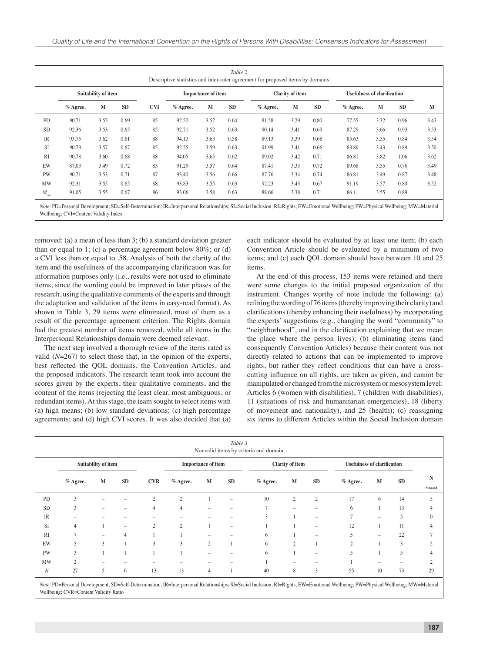|                |            | Suitability of item |           |            | Importance of item |      |           |            | <b>Clarity of item</b> |           | <b>Usefulness of clarification</b> |      |           |      |
|----------------|------------|---------------------|-----------|------------|--------------------|------|-----------|------------|------------------------|-----------|------------------------------------|------|-----------|------|
|                | $%$ Agree. | M                   | <b>SD</b> | <b>CVI</b> | $%$ Agree.         | M    | <b>SD</b> | $%$ Agree. | M                      | <b>SD</b> | $%$ Agree.                         | M    | <b>SD</b> | M    |
| PD             | 90.71      | 3.55                | 0.69      | .85        | 92.52              | 3.57 | 0.64      | 81.58      | 3.29                   | 0.80      | 77.55                              | 3.32 | 0.96      | 3.43 |
| <b>SD</b>      | 92.36      | 3.53                | 0.65      | .85        | 92.71              | 3.52 | 0.63      | 90.14      | 3.41                   | 0.69      | 87.29                              | 3.66 | 0.93      | 3.53 |
| <b>IR</b>      | 93.75      | 3.62                | 0.61      | .88        | 94.13              | 3.63 | 0.58      | 89.13      | 3.39                   | 0.68      | 85.63                              | 3.55 | 0.84      | 3.54 |
| SI             | 90.79      | 3.57                | 0.67      | .85        | 92.55              | 3.59 | 0.63      | 91.99      | 3.41                   | 0.66      | 83.89                              | 3.43 | 0.89      | 3.50 |
| RI             | 90.78      | 3.60                | 0.68      | .88        | 94.05              | 3.65 | 0.62      | 89.02      | 3.42                   | 0.71      | 86.81                              | 3.82 | 1.06      | 3.62 |
| EW             | 87.03      | 3.49                | 0.72      | .83        | 91.29              | 3.57 | 0.64      | 87.41      | 3.33                   | 0.72      | 89.68                              | 3.55 | 0.76      | 3.49 |
| PW             | 90.71      | 3.53                | 0.71      | .87        | 93.40              | 3.56 | 0.66      | 87.76      | 3.34                   | 0.74      | 86.81                              | 3.49 | 0.87      | 3.48 |
| <b>MW</b>      | 92.31      | 3.55                | 0.65      | .88        | 93.83              | 3.55 | 0.63      | 92.23      | 3.43                   | 0.67      | 91.19                              | 3.57 | 0.80      | 3.52 |
| $M_{\rm crit}$ | 91.05      | 3.55                | 0.67      | .86        | 93.06              | 3.58 | 0.63      | 88.66      | 3.38                   | 0.71      | 86.11                              | 3.55 | 0.89      |      |

removed: (a) a mean of less than 3; (b) a standard deviation greater than or equal to 1; (c) a percentage agreement below  $80\%$ ; or (d) a CVI less than or equal to .58. Analysis of both the clarity of the item and the usefulness of the accompanying clarification was for information purposes only (i.e., results were not used to eliminate items, since the wording could be improved in later phases of the research, using the qualitative comments of the experts and through the adaptation and validation of the items in easy-read format). As shown in Table 3, 29 items were eliminated, most of them as a result of the percentage agreement criterion. The Rights domain had the greatest number of items removed, while all items in the Interpersonal Relationships domain were deemed relevant.

The next step involved a thorough review of the items rated as valid (*N*=267) to select those that, in the opinion of the experts, best reflected the QOL domains, the Convention Articles, and the proposed indicators. The research team took into account the scores given by the experts, their qualitative comments, and the content of the items (rejecting the least clear, most ambiguous, or redundant items). At this stage, the team sought to select items with (a) high means; (b) low standard deviations; (c) high percentage agreements; and (d) high CVI scores. It was also decided that (a) each indicator should be evaluated by at least one item; (b) each Convention Article should be evaluated by a minimum of two items; and (c) each QOL domain should have between 10 and 25 items.

At the end of this process, 153 items were retained and there were some changes to the initial proposed organization of the instrument. Changes worthy of note include the following: (a) refining the wording of 76 items (thereby improving their clarity) and clarifications (thereby enhancing their usefulness) by incorporating the experts' suggestions (e.g., changing the word "community" to "neighborhood", and in the clarification explaining that we mean the place where the person lives); (b) eliminating items (and consequently Convention Articles) because their content was not directly related to actions that can be implemented to improve rights, but rather they reflect conditions that can have a crosscutting influence on all rights, are taken as given, and cannot be manipulated or changed from the microsystem or mesosystem level: Articles 6 (women with disabilities), 7 (children with disabilities), 11 (situations of risk and humanitarian emergencies), 18 (liberty of movement and nationality), and 25 (health); (c) reassigning six items to different Articles within the Social Inclusion domain

|                                   |                     |                                                                           |                          |                          |                           |                          | Table 3                  | Nonvalid items by criteria and domain |                          |                                 |                                    |              |                          |               |
|-----------------------------------|---------------------|---------------------------------------------------------------------------|--------------------------|--------------------------|---------------------------|--------------------------|--------------------------|---------------------------------------|--------------------------|---------------------------------|------------------------------------|--------------|--------------------------|---------------|
|                                   | Suitability of item |                                                                           |                          |                          | <b>Importance of item</b> |                          |                          |                                       | <b>Clarity of item</b>   |                                 | <b>Usefulness of clarification</b> |              |                          |               |
|                                   | % Agree.            | M                                                                         | SD                       | <b>CVR</b>               | $%$ Agree.                | M                        | <b>SD</b>                | $%$ Agree.                            | M                        | <b>SD</b>                       | % Agree.                           | M            | SD                       | N<br>Nonvalid |
| PD                                | 3                   |                                                                           |                          | $\overline{2}$           | $\overline{2}$            |                          | $\overline{\phantom{0}}$ | 10                                    | $\overline{2}$           | $\overline{2}$                  | 17                                 | 6            | 14                       | 3             |
| <b>SD</b>                         | 3                   | $\overline{\phantom{a}}$                                                  | $\qquad \qquad =$        | $\overline{4}$           | $\overline{4}$            | $\qquad \qquad -$        | -                        | $\overline{ }$                        | $\overline{\phantom{0}}$ | $\hspace{0.1in} \hspace{0.1in}$ | 6                                  |              | 13                       | 4             |
| $\ensuremath{\mathsf{IR}}\xspace$ |                     |                                                                           |                          |                          |                           |                          |                          | 3                                     |                          | $\qquad \qquad =$               | $\overline{ }$                     | -            | 5                        | $\mathbf{0}$  |
| SI                                | $\overline{4}$      |                                                                           | $\overline{\phantom{a}}$ | 2                        | $\overline{2}$            |                          | $\overline{\phantom{a}}$ |                                       |                          | $\overline{\phantom{a}}$        | 12                                 | $\mathbf{1}$ | 11                       | 4             |
| RI                                | $\overline{ }$      | $\overline{\phantom{0}}$                                                  | $\overline{4}$           |                          |                           | $\overline{\phantom{0}}$ | $\overline{\phantom{0}}$ | 6                                     |                          | $\hspace{0.1in} \hspace{0.1in}$ |                                    | -            | 22                       |               |
| EW                                | 5                   | 3                                                                         |                          | 3                        | 3                         | $\overline{2}$           |                          | 6                                     | $\overline{c}$           |                                 | $\sim$                             |              | 3                        |               |
| PW                                | 3                   |                                                                           |                          |                          |                           |                          |                          | 6                                     |                          | $\overline{\phantom{a}}$        |                                    |              | 5                        | 4             |
| <b>MW</b>                         | $\overline{2}$      | $\hspace{1.0cm} \rule{1.5cm}{0.15cm} \hspace{1.0cm} \rule{1.5cm}{0.15cm}$ | $\overline{\phantom{a}}$ | $\overline{\phantom{a}}$ | $\overline{\phantom{m}}$  | -                        | -                        |                                       | $\overline{\phantom{0}}$ | $\hspace{0.1in} \hspace{0.1in}$ |                                    | -            | $\overline{\phantom{0}}$ | <sup>1</sup>  |
| $\boldsymbol{N}$                  | 27                  | 5                                                                         | 6                        | 13                       | 13                        | $\overline{4}$           |                          | 40                                    | 8                        | 3                               | 55                                 | 10           | 73                       | 29            |

*Note*: PD=Personal Development; SD=Self-Determination; IR=Interpersonal Relationships; SI=Social Inclusion; RI=Rights; EW=Emotional Wellbeing; PW=Physical Wellbeing; MW=Material Wellbeing; CVR=Content Validity Ratio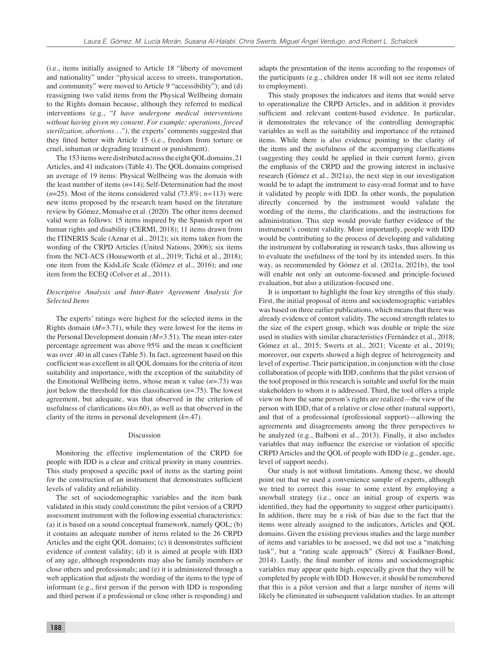(i.e., items initially assigned to Article 18 "liberty of movement and nationality" under "physical access to streets, transportation, and community" were moved to Article 9 "accessibility"); and (d) reassigning two valid items from the Physical Wellbeing domain to the Rights domain because, although they referred to medical interventions (e.g., "*I have undergone medical interventions without having given my consent. For example: operations, forced sterilization, abortions…"),* the experts' comments suggested that they fitted better with Article 15 (i.e., freedom from torture or cruel, inhuman or degrading treatment or punishment).

The 153 items were distributed across the eight QOL domains, 21 Articles, and 41 indicators (Table 4). The QOL domains comprised an average of 19 items: Physical Wellbeing was the domain with the least number of items (*n*=14); Self-Determination had the most  $(n=25)$ . Most of the items considered valid (73.8%;  $n=113$ ) were new items proposed by the research team based on the literature review by Gómez, Monsalve et al. (2020). The other items deemed valid were as follows: 15 items inspired by the Spanish report on human rights and disability (CERMI, 2018); 11 items drawn from the ITINERIS Scale (Aznar et al., 2012); six items taken from the wording of the CRPD Articles (United Nations, 2006); six items from the NCI-ACS (Houseworth et al., 2019; Tichá et al., 2018); one item from the KidsLife Scale (Gómez et al., 2016); and one item from the ECEQ (Colver et al., 2011).

# *Descriptive Analysis and Inter-Rater Agreement Analysis for Selected Items*

The experts' ratings were highest for the selected items in the Rights domain (*M=*3.71), while they were lowest for the items in the Personal Development domain *(M=*3.51). The mean inter-rater percentage agreement was above  $95\%$  and the mean  $\alpha$  coefficient was over .40 in all cases (Table 5). In fact, agreement based on this coefficient was excellent in all QOL domains for the criteria of item suitability and importance, with the exception of the suitability of the Emotional Wellbeing items, whose mean κ value (*κ*=.73) was just below the threshold for this classification  $(x=0.75)$ . The lowest agreement, but adequate, was that observed in the criterion of usefulness of clarifications  $(k=0.60)$ , as well as that observed in the clarity of the items in personal development (*k*=.47).

# Discussion

Monitoring the effective implementation of the CRPD for people with IDD is a clear and critical priority in many countries. This study proposed a specific pool of items as the starting point for the construction of an instrument that demonstrates sufficient levels of validity and reliability.

The set of sociodemographic variables and the item bank validated in this study could constitute the pilot version of a CRPD assessment instrument with the following essential characteristics: (a) it is based on a sound conceptual framework, namely QOL; (b) it contains an adequate number of items related to the 26 CRPD Articles and the eight QOL domains; (c) it demonstrates sufficient evidence of content validity; (d) it is aimed at people with IDD of any age, although respondents may also be family members or close others and professionals; and (e) it is administered through a web application that adjusts the wording of the items to the type of informant (e.g., first person if the person with IDD is responding and third person if a professional or close other is responding) and

adapts the presentation of the items according to the responses of the participants (e.g., children under 18 will not see items related to employment).

This study proposes the indicators and items that would serve to operationalize the CRPD Articles, and in addition it provides sufficient and relevant content-based evidence. In particular, it demonstrates the relevance of the controlling demographic variables as well as the suitability and importance of the retained items. While there is also evidence pointing to the clarity of the items and the usefulness of the accompanying clarifications (suggesting they could be applied in their current form), given the emphasis of the CRPD and the growing interest in inclusive research (Gómez et al., 2021a), the next step in our investigation would be to adapt the instrument to easy-read format and to have it validated by people with IDD. In other words, the population directly concerned by the instrument would validate the wording of the items, the clarifications, and the instructions for administration. This step would provide further evidence of the instrument's content validity. More importantly, people with IDD would be contributing to the process of developing and validating the instrument by collaborating in research tasks, thus allowing us to evaluate the usefulness of the tool by its intended users. In this way, as recommended by Gómez et al. (2021a, 2021b), the tool will enable not only an outcome-focused and principle-focused evaluation, but also a utilization-focused one.

It is important to highlight the four key strengths of this study. First, the initial proposal of items and sociodemographic variables was based on three earlier publications, which means that there was already evidence of content validity. The second strength relates to the size of the expert group, which was double or triple the size used in studies with similar characteristics (Fernández et al., 2018; Gómez et al., 2015; Swerts et al., 2021; Vicente et al., 2019); moreover, our experts showed a high degree of heterogeneity and level of expertise. Their participation, in conjunction with the close collaboration of people with IDD, confirms that the pilot version of the tool proposed in this research is suitable and useful for the main stakeholders to whom it is addressed. Third, the tool offers a triple view on how the same person's rights are realized—the view of the person with IDD, that of a relative or close other (natural support), and that of a professional (professional support)—allowing the agreements and disagreements among the three perspectives to be analyzed (e.g., Balboni et al., 2013). Finally, it also includes variables that may influence the exercise or violation of specific CRPD Articles and the QOL of people with IDD (e.g., gender, age, level of support needs).

Our study is not without limitations. Among these, we should point out that we used a convenience sample of experts, although we tried to correct this issue to some extent by employing a snowball strategy (i.e., once an initial group of experts was identified, they had the opportunity to suggest other participants). In addition, there may be a risk of bias due to the fact that the items were already assigned to the indicators, Articles and QOL domains. Given the existing previous studies and the large number of items and variables to be assessed, we did not use a "matching task", but a "rating scale approach" (Sireci & Faulkner-Bond, 2014). Lastly, the final number of items and sociodemographic variables may appear quite high, especially given that they will be completed by people with IDD. However, it should be remembered that this is a pilot version and that a large number of items will likely be eliminated in subsequent validation studies. In an attempt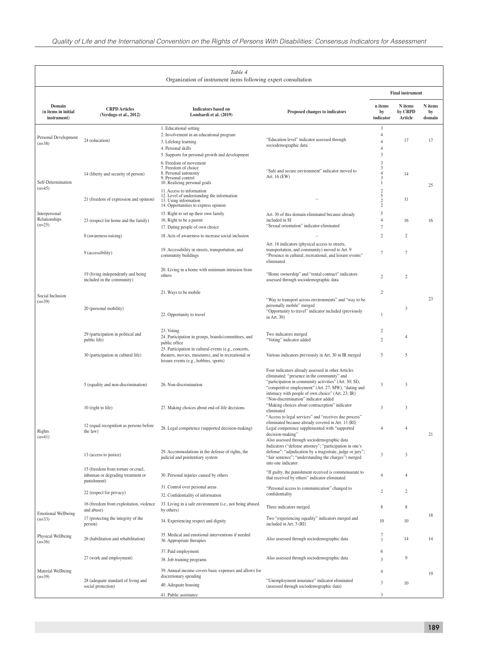|                                              |                                                                                        | Table 4<br>Organization of instrument items following expert consultation                                                                                              |                                                                                                                                                                                                                                                                                                                 |                                                 |                               |                         |
|----------------------------------------------|----------------------------------------------------------------------------------------|------------------------------------------------------------------------------------------------------------------------------------------------------------------------|-----------------------------------------------------------------------------------------------------------------------------------------------------------------------------------------------------------------------------------------------------------------------------------------------------------------|-------------------------------------------------|-------------------------------|-------------------------|
|                                              |                                                                                        |                                                                                                                                                                        |                                                                                                                                                                                                                                                                                                                 |                                                 | <b>Final instrument</b>       |                         |
| Domain<br>(n items in initial<br>instrument) | <b>CRPD</b> Articles<br>(Verdugo et al., 2012)                                         | <b>Indicators based on</b><br>Lombardi et al. (2019)                                                                                                                   | Proposed changes to indicators                                                                                                                                                                                                                                                                                  | n items<br>by<br>indicator                      | N items<br>by CRPD<br>Article | N items<br>by<br>domain |
| Personal Development<br>$(n=38)$             | 24 (education)                                                                         | 1. Educational setting<br>2. Involvement in an educational program<br>3. Lifelong learning<br>4. Personal skills<br>5. Supports for personal growth and development    | "Education level" indicator assessed through<br>sociodemographic data                                                                                                                                                                                                                                           | 3<br>4<br>$\overline{4}$<br>4<br>3              | 17                            | 17                      |
| Self-Determination                           | 14 (liberty and security of person)                                                    | 6. Freedom of movement<br>7. Freedom of choice<br>8. Personal autonomy<br>9. Personal control<br>10. Realizing personal goals                                          | "Safe and secure environment" indicator moved to<br>Art. 16 (EW)                                                                                                                                                                                                                                                | 3<br>3<br>4<br>3<br>1                           | 14                            | 25                      |
| $(n=45)$                                     | 21 (freedom of expression and opinion)                                                 | 11. Access to information<br>12. Level of understanding the information<br>13. Using information<br>14. Opportunities to express opinion                               |                                                                                                                                                                                                                                                                                                                 | $\begin{array}{c} 2 \\ 5 \\ 2 \\ 2 \end{array}$ | 11                            |                         |
| Interpersonal<br>Relationships<br>$(n=25)$   | 23 (respect for home and the family)                                                   | 15. Right to set up their own family<br>16. Right to be a parent<br>17. Dating people of own choice                                                                    | Art. 30 of this domain eliminated because already<br>included in SI<br>"Sexual orientation" indicator eliminated                                                                                                                                                                                                | 5<br>$\overline{4}$<br>$\tau$                   | 16                            | 16                      |
|                                              | 8 (awareness-raising)                                                                  | 18. Acts of awareness to increase social inclusion                                                                                                                     |                                                                                                                                                                                                                                                                                                                 | $\mathfrak{2}$                                  | $\overline{c}$                |                         |
|                                              | 9 (accessibility)                                                                      | 19. Accessibility in streets, transportation, and<br>community buildings                                                                                               | Art. 18 indicators (physical access to streets,<br>transportation, and community) moved to Art. 9<br>"Presence in cultural, recreational, and leisure events"<br>eliminated                                                                                                                                     | $\overline{7}$                                  | 7                             |                         |
|                                              | 19 (living independently and being<br>included in the community)                       | 20. Living in a home with minimum intrusion from<br>others                                                                                                             | "Home ownership" and "rental contract" indicators<br>assessed through sociodemographic data                                                                                                                                                                                                                     | $\overline{c}$                                  | $\overline{c}$                |                         |
| Social Inclusion                             |                                                                                        | 21. Ways to be mobile                                                                                                                                                  |                                                                                                                                                                                                                                                                                                                 | $\mathfrak{2}$                                  |                               |                         |
| $(n=39)$                                     | 20 (personal mobility)                                                                 | 22. Opportunity to travel                                                                                                                                              | "Way to transport across environments" and "way to be<br>personally mobile" merged<br>"Opportunity to travel" indicator included (previously<br>in Art. 30)                                                                                                                                                     | $\mathbf{1}$                                    | 3                             | 23                      |
|                                              |                                                                                        | 23. Voting                                                                                                                                                             |                                                                                                                                                                                                                                                                                                                 | $\overline{c}$                                  |                               |                         |
|                                              | 29 (participation in political and<br>public life)                                     | 24. Participation in groups, boards/committees, and                                                                                                                    | Two indicators merged<br>"Voting" indicator added                                                                                                                                                                                                                                                               | $\overline{c}$                                  | 4                             |                         |
|                                              | 30 (participation in cultural life)                                                    | public office<br>25. Participation in cultural events (e.g., concerts,<br>theaters, movies, museums), and in recreational or<br>leisure events (e.g., hobbies, sports) | Various indicators previously in Art. 30 in IR merged                                                                                                                                                                                                                                                           | 5                                               | 5                             |                         |
|                                              | 5 (equality and non-discrimination)                                                    | 26. Non-discrimination                                                                                                                                                 | Four indicators already assessed in other Articles<br>eliminated: "presence in the community" and<br>"participation in community activities" (Art. 30; SI),<br>"competitive employment" (Art. 27; MW), "dating and<br>intimacy with people of own choice" (Art. 23; IR)<br>"Non-discrimination" indicator added | 3                                               | 3                             |                         |
|                                              | 10 (right to life)                                                                     | 27. Making choices about end-of-life decisions                                                                                                                         | "Making choices about contraception" indicator<br>eliminated<br>"Access to legal services" and "receives due process"                                                                                                                                                                                           | 3                                               | 3<br>$\overline{4}$           |                         |
| Rights<br>$(n=41)$                           | 12 (equal recognition as persons before<br>the law)                                    | 28. Legal competence (supported decision-making)                                                                                                                       | eliminated because already covered in Art. 13 (RI)<br>Legal competence supplemented with "supported<br>decision-making<br>Also assessed through sociodemographic data                                                                                                                                           | 4                                               |                               | 21                      |
|                                              | 13 (access to justice)                                                                 | 29. Accommodations in the defense of rights, the<br>judicial and penitentiary system                                                                                   | Indicators ("defense attorney"; "participation in one's<br>defense"; "adjudication by a magistrate, judge or jury";<br>"fair sentence"; "understanding the charges") merged<br>into one indicator                                                                                                               | 3                                               | 3                             |                         |
|                                              | 15 (freedom from torture or cruel,<br>inhuman or degrading treatment or<br>punishment) | 30. Personal injuries caused by others                                                                                                                                 | "If guilty, the punishment received is commensurate to<br>that received by others" indicator eliminated                                                                                                                                                                                                         | $\overline{4}$                                  | $\overline{4}$                |                         |
|                                              | 22 (respect for privacy)                                                               | 31. Control over personal areas<br>32. Confidentiality of information                                                                                                  | "Personal access to communication" changed to<br>confidentiality                                                                                                                                                                                                                                                | $\overline{c}$                                  | $\overline{c}$                |                         |
|                                              | 16 (freedom from exploitation, violence                                                | 33. Living in a safe environment (i.e., not being abused                                                                                                               | Three indicators merged                                                                                                                                                                                                                                                                                         | 8                                               | 8                             |                         |
| <b>Emotional Wellbeing</b><br>$(n=33)$       | and abuse)<br>17 (protecting the integrity of the<br>person)                           | by others)<br>34. Experiencing respect and dignity                                                                                                                     | Two "experiencing equality" indicators merged and<br>included in Art. 5 (RI)                                                                                                                                                                                                                                    | 10                                              | 10                            | 18                      |
| Physical Wellbeing<br>$(n=36)$               | 26 (habilitation and rehabilitation)                                                   | 35. Medical and emotional interventions if needed<br>36. Appropriate therapies                                                                                         | Also assessed through sociodemographic data                                                                                                                                                                                                                                                                     | 7<br>$\overline{7}$                             | 14                            | 14                      |
|                                              | 27 (work and employment)                                                               | 37. Paid employment<br>38. Job training programs                                                                                                                       | Also assessed through sociodemographic data                                                                                                                                                                                                                                                                     | 6<br>3                                          | 9                             |                         |
| Material Wellbeing<br>$(n=39)$               | 28 (adequate standard of living and                                                    | 39. Annual income covers basic expenses and allows for<br>discretionary spending                                                                                       | "Unemployment insurance" indicator eliminated                                                                                                                                                                                                                                                                   | $\overline{4}$                                  |                               | 19                      |
|                                              | social protection)                                                                     | 40. Adequate housing<br>41. Public assistance                                                                                                                          | (assessed through sociodemographic data)                                                                                                                                                                                                                                                                        | 3<br>3                                          | 10                            |                         |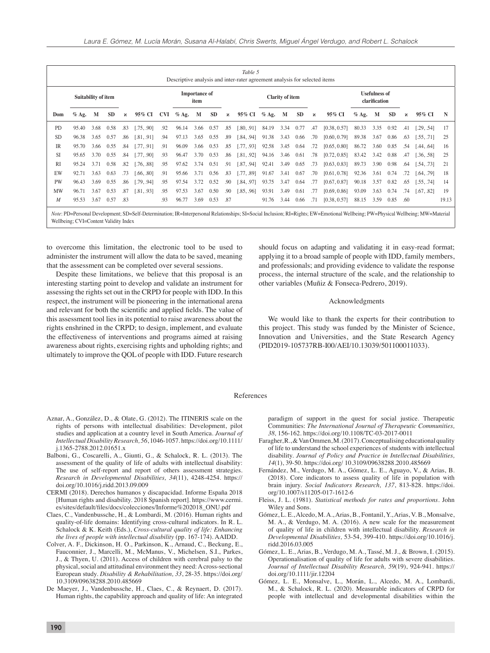| Table 5<br>Descriptive analysis and inter-rater agreement analysis for selected items |                     |      |           |     |            |                              |           |      |      |     |                        |       |      |           |     |                                       |           |      |      |     |            |       |
|---------------------------------------------------------------------------------------|---------------------|------|-----------|-----|------------|------------------------------|-----------|------|------|-----|------------------------|-------|------|-----------|-----|---------------------------------------|-----------|------|------|-----|------------|-------|
|                                                                                       | Suitability of item |      |           |     |            | <b>Importance of</b><br>item |           |      |      |     | <b>Clarity of item</b> |       |      |           |     | <b>Usefulness of</b><br>clarification |           |      |      |     |            |       |
| Dom                                                                                   | $%$ Ag. M           |      | <b>SD</b> | χ   | 95% CI     | CVI                          | $%$ Ag. M |      | SD   | κ   | 95% CI % Ag. M         |       |      | <b>SD</b> | х   | 95% CI                                | $%$ Ag. M |      | SD.  | χ   | 95% CI     | N     |
| PD                                                                                    | 95.40               | 3.68 | 0.58      | .83 | [.75, .90] | .92                          | 96.14     | 3.66 | 0.57 | .85 | [.80, .91]             | 84.19 | 3.34 | 0.77      | .47 | [0.38, 0.57]                          | 80.33     | 3.35 | 0.92 | .41 | [.29, .54] | 17    |
| <b>SD</b>                                                                             | 96.38               | 3.65 | 0.57      | .86 | [.81, .91] | .94                          | 97.13     | 3.65 | 0.55 | .89 | [.84, .94]             | 91.38 | 3.43 | 0.66      | .70 | [0.60, 0.79]                          | 89.38     | 3.67 | 0.86 | .63 | [.55, .71] | 25    |
| <b>IR</b>                                                                             | 95.70               | 3.66 | 0.55      | .84 | [.77, .91] | .91                          | 96.09     | 3.66 | 0.53 | .85 | 1.77, .931             | 92.58 | 3.45 | 0.64      | .72 | [0.65, 0.80]                          | 86.72     | 3.60 | 0.85 | .54 | [.44, .64] | 16    |
| <b>SI</b>                                                                             | 95.65               | 3.70 | 0.55      | .84 | [.77, .90] | .93                          | 96.47     | 3.70 | 0.53 | .86 | [.81, .92]             | 94.16 | 3.46 | 0.61      | .78 | [0.72, 0.85]                          | 83.42     | 3.42 | 0.88 | .47 | [.36, .58] | 25    |
| <b>RI</b>                                                                             | 95.24               | 3.71 | 0.58      | .82 | [.76, .88] | .95                          | 97.62     | 3.74 | 0.51 | .91 | [.87, .94]             | 92.41 | 3.49 | 0.65      | .73 | [0.63, 0.83]                          | 89.73     | 3.90 | 0.98 | .64 | [.54, .73] | 21    |
| EW                                                                                    | 92.71               | 3.63 | 0.63      | .73 | [.66, .80] | .91                          | 95.66     | 3.71 | 0.56 | .83 | [.77, .89]             | 91.67 | 3.41 | 0.67      | .70 | [0.61, 0.78]                          | 92.36     | 3.61 | 0.74 | .72 | 1.64, .791 | 18    |
| PW                                                                                    | 96.43               | 3.69 | 0.55      | .86 | [.79, .94] | .95                          | 97.54     | 3.72 | 0.52 | .90 | [.84, .97]             | 93.75 | 3.47 | 0.64      | .77 | [0.67, 0.87]                          | 90.18     | 3.57 | 0.82 | .65 | [.55, .74] | 14    |
| <b>MW</b>                                                                             | 96.71               | 3.67 | 0.53      | .87 | [.81, .93] | .95                          | 97.53     | 3.67 | 0.50 | .90 | [.85, .96]             | 93.91 | 3.49 | 0.61      | .77 | [0.69, 0.86]                          | 93.09     | 3.63 | 0.74 | .74 | [.67, .82] | 19    |
| M                                                                                     | 95.53               | 3.67 | 0.57      | .83 |            | .93                          | 96.77     | 3.69 | 0.53 | .87 |                        | 91.76 | 3.44 | 0.66      | .71 | [0.38, 0.57]                          | 88.15     | 3.59 | 0.85 | .60 |            | 19.13 |

Wellbeing; CVI=Content Validity Index

to overcome this limitation, the electronic tool to be used to administer the instrument will allow the data to be saved, meaning that the assessment can be completed over several sessions.

Despite these limitations, we believe that this proposal is an interesting starting point to develop and validate an instrument for assessing the rights set out in the CRPD for people with IDD. In this respect, the instrument will be pioneering in the international arena and relevant for both the scientific and applied fields. The value of this assessment tool lies in its potential to raise awareness about the rights enshrined in the CRPD; to design, implement, and evaluate the effectiveness of interventions and programs aimed at raising awareness about rights, exercising rights and upholding rights; and ultimately to improve the QOL of people with IDD. Future research

should focus on adapting and validating it in easy-read format; applying it to a broad sample of people with IDD, family members, and professionals; and providing evidence to validate the response process, the internal structure of the scale, and the relationship to other variables (Muñiz & Fonseca-Pedrero, 2019).

# Acknowledgments

We would like to thank the experts for their contribution to this project. This study was funded by the Minister of Science, Innovation and Universities, and the State Research Agency (PID2019-105737RB-I00/AEI/10.13039/501100011033).

## References

- Aznar, A., González, D., & Olate, G. (2012). The ITINERIS scale on the rights of persons with intellectual disabilities: Development, pilot studies and application at a country level in South America. *Journal of Intellectual Disability Research, 56*, 1046-1057. https://doi.org/10.1111/ j.1365-2788.2012.01651.x
- Balboni, G., Coscarelli, A., Giunti, G., & Schalock, R. L. (2013). The assessment of the quality of life of adults with intellectual disability: The use of self-report and report of others assessment strategies. *Research in Developmental Disabilities, 34*(11), 4248-4254. https:// doi.org/10.1016/j.ridd.2013.09.009
- CERMI (2018). Derechos humanos y discapacidad. Informe España 2018 [Human rights and disability. 2018 Spanish report]. https://www.cermi. es/sites/default/files/docs/colecciones/Informe%202018\_ONU.pdf
- Claes, C., Vandenbussche, H., & Lombardi, M. (2016). Human rights and quality-of-life domains: Identifying cross-cultural indicators. In R. L. Schalock & K. Keith (Eds.), *Cross-cultural quality of life: Enhancing the lives of people with intellectual disability* (pp. 167-174). AAIDD.
- Colver, A. F., Dickinson, H. O., Parkinson, K., Arnaud, C., Beckung, E., Fauconnier, J., Marcelli, M., McManus, V., Michelsen, S.I., Parkes, J., & Thyen, U. (2011). Access of children with cerebral palsy to the physical, social and attitudinal environment they need: A cross-sectional European study. *Disability & Rehabilitation, 33*, 28-35. https://doi.org/ 10.3109/09638288.2010.485669
- De Maeyer, J., Vandenbussche, H., Claes, C., & Reynaert, D. (2017). Human rights, the capability approach and quality of life: An integrated

paradigm of support in the quest for social justice. Therapeutic Communities: *The International Journal of Therapeutic Communities, 38,* 156-162. https://doi.org/10.1108/TC-03-2017-0011

- Faragher, R., & Van Ommen, M. (2017). Conceptualising educational quality of life to understand the school experiences of students with intellectual disability. *Journal of Policy and Practice in Intellectual Disabilities, 14*(1), 39-50. https://doi.org/ 10.3109/09638288.2010.485669
- Fernández, M., Verdugo, M. A., Gómez, L. E., Aguayo, V., & Arias, B. (2018). Core indicators to assess quality of life in population with brain injury. *Social Indicators Research, 137*, 813-828. https://doi. org/10.1007/s11205-017-1612-6
- Fleiss, J. L. (1981). *Statistical methods for rates and proportions*. John Wiley and Sons.
- Gómez, L. E., Alcedo, M. A., Arias, B., Fontanil, Y., Arias, V. B., Monsalve, M. A., & Verdugo, M. A. (2016). A new scale for the measurement of quality of life in children with intellectual disability. *Research in Developmental Disabilities,* 53-54, 399-410. https://doi.org/10.1016/j. ridd.2016.03.005
- Gómez, L. E., Arias, B., Verdugo, M. A., Tassé, M. J., & Brown, I. (2015). Operationalisation of quality of life for adults with severe disabilities. *Journal of Intellectual Disability Research, 59*(19), 924-941. https:// doi.org/10.1111/jir.12204
- Gómez, L. E., Monsalve, L., Morán, L., Alcedo, M. A., Lombardi, M., & Schalock, R. L. (2020). Measurable indicators of CRPD for people with intellectual and developmental disabilities within the